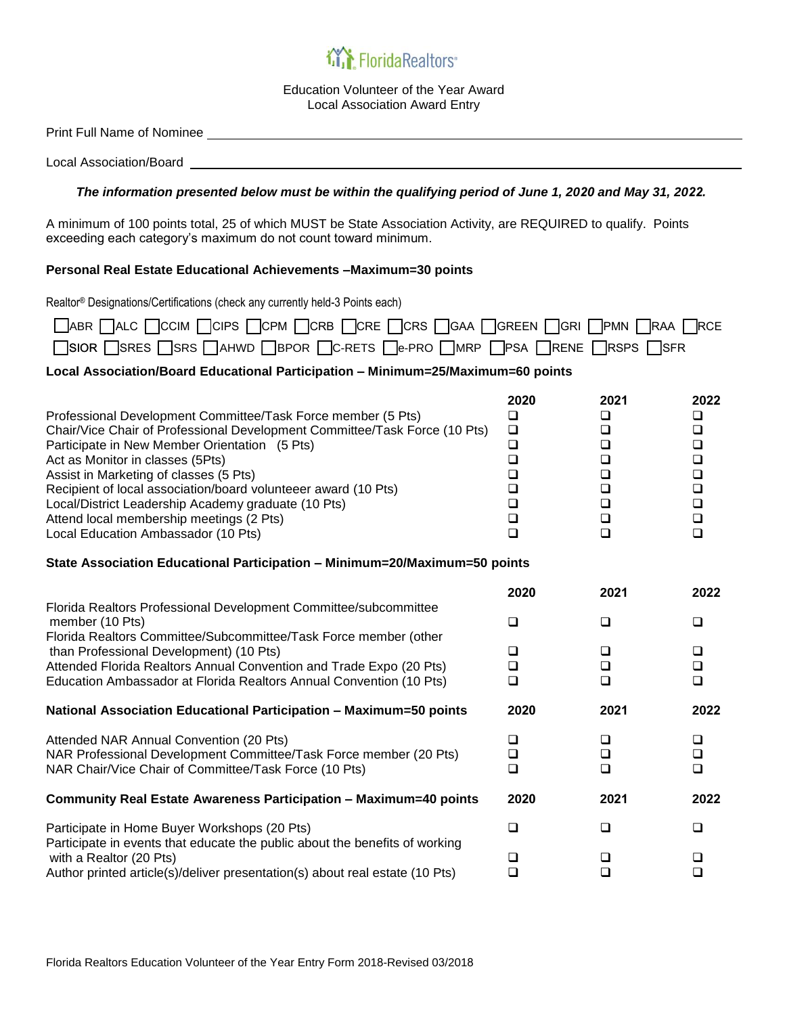## *in* Florida Realtors<sup>®</sup>

Education Volunteer of the Year Award Local Association Award Entry

Print Full Name of Nominee

Local Association/Board

## *The information presented below must be within the qualifying period of June 1, 2020 and May 31, 2022.*

A minimum of 100 points total, 25 of which MUST be State Association Activity, are REQUIRED to qualify. Points exceeding each category's maximum do not count toward minimum.

## **Personal Real Estate Educational Achievements –Maximum=30 points**

Realtor® Designations/Certifications (check any currently held-3 Points each)

|                                                                    | □ ABR □ ALC □ CCIM □ CIPS □ CPM □ CRB □ CRE □ CRS □ GAA □ GREEN □ GRI □ PMN □ RAA □ RCE |
|--------------------------------------------------------------------|-----------------------------------------------------------------------------------------|
| SIOR SRES SRS DAHWD BPOR DC-RETS De-PRO DMRP DPSA DRENE DRSPS DSFR |                                                                                         |

## **Local Association/Board Educational Participation – Minimum=25/Maximum=60 points**

| Professional Development Committee/Task Force member (5 Pts)<br>Chair/Vice Chair of Professional Development Committee/Task Force (10 Pts)<br>Participate in New Member Orientation (5 Pts)<br>Act as Monitor in classes (5Pts)<br>Assist in Marketing of classes (5 Pts)<br>Recipient of local association/board volunteeer award (10 Pts)<br>Local/District Leadership Academy graduate (10 Pts)<br>Attend local membership meetings (2 Pts)<br>Local Education Ambassador (10 Pts) | 2020<br>$\Box$<br>$\Box$<br>$\Box$<br>$\Box$<br>$\Box$<br>$\Box$<br>$\Box$<br>$\Box$<br>$\Box$ | 2021<br>❏<br>$\Box$<br>$\Box$<br>$\Box$<br>$\Box$<br>$\Box$<br>$\Box$<br>$\Box$<br>$\Box$ | 2022<br>❏<br>$\Box$<br>$\Box$<br>$\Box$<br>$\Box$<br>$\Box$<br>$\Box$<br>$\Box$<br>$\Box$ |  |
|---------------------------------------------------------------------------------------------------------------------------------------------------------------------------------------------------------------------------------------------------------------------------------------------------------------------------------------------------------------------------------------------------------------------------------------------------------------------------------------|------------------------------------------------------------------------------------------------|-------------------------------------------------------------------------------------------|-------------------------------------------------------------------------------------------|--|
| State Association Educational Participation - Minimum=20/Maximum=50 points                                                                                                                                                                                                                                                                                                                                                                                                            |                                                                                                |                                                                                           |                                                                                           |  |
| Florida Realtors Professional Development Committee/subcommittee<br>member (10 Pts)<br>Florida Realtors Committee/Subcommittee/Task Force member (other<br>than Professional Development) (10 Pts)                                                                                                                                                                                                                                                                                    | 2020                                                                                           | 2021                                                                                      | 2022                                                                                      |  |
|                                                                                                                                                                                                                                                                                                                                                                                                                                                                                       | $\Box$                                                                                         | $\Box$                                                                                    | ❏                                                                                         |  |
|                                                                                                                                                                                                                                                                                                                                                                                                                                                                                       | $\Box$                                                                                         | $\Box$                                                                                    | $\Box$                                                                                    |  |
| Attended Florida Realtors Annual Convention and Trade Expo (20 Pts)<br>Education Ambassador at Florida Realtors Annual Convention (10 Pts)                                                                                                                                                                                                                                                                                                                                            | $\Box$<br>$\Box$                                                                               | $\Box$<br>$\Box$                                                                          | $\Box$<br>$\Box$                                                                          |  |
| National Association Educational Participation - Maximum=50 points                                                                                                                                                                                                                                                                                                                                                                                                                    | 2020                                                                                           | 2021                                                                                      | 2022                                                                                      |  |
| Attended NAR Annual Convention (20 Pts)                                                                                                                                                                                                                                                                                                                                                                                                                                               | $\Box$                                                                                         | $\Box$                                                                                    | $\Box$                                                                                    |  |
| NAR Professional Development Committee/Task Force member (20 Pts)<br>NAR Chair/Vice Chair of Committee/Task Force (10 Pts)                                                                                                                                                                                                                                                                                                                                                            | $\Box$<br>$\Box$                                                                               | $\Box$<br>$\Box$                                                                          | $\Box$<br>$\Box$                                                                          |  |
| Community Real Estate Awareness Participation - Maximum=40 points                                                                                                                                                                                                                                                                                                                                                                                                                     | 2020                                                                                           | 2021                                                                                      | 2022                                                                                      |  |
| Participate in Home Buyer Workshops (20 Pts)<br>Participate in events that educate the public about the benefits of working<br>with a Realtor (20 Pts)                                                                                                                                                                                                                                                                                                                                | $\Box$                                                                                         | $\Box$                                                                                    | $\Box$                                                                                    |  |
|                                                                                                                                                                                                                                                                                                                                                                                                                                                                                       | $\Box$<br>$\Box$                                                                               | ❏<br>□                                                                                    | ❏<br>$\Box$                                                                               |  |
| Author printed article(s)/deliver presentation(s) about real estate (10 Pts)                                                                                                                                                                                                                                                                                                                                                                                                          |                                                                                                |                                                                                           |                                                                                           |  |